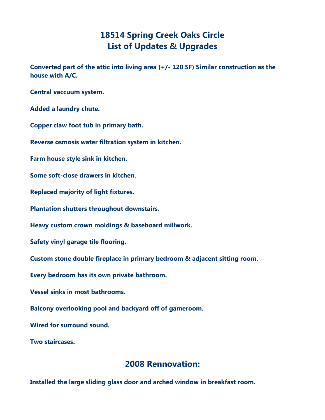## **18514 Spring Creek Oaks Circle List of Updates & Upgrades**

**Converted part of the attic into living area (+/- 120 SF) Similar construction as the house with A/C.** 

**Central vaccuum system.**

**Added a laundry chute.**

**Copper claw foot tub in primary bath.**

**Reverse osmosis water filtration system in kitchen.**

**Farm house style sink in kitchen.**

**Some soft-close drawers in kitchen.**

**Replaced majority of light fixtures.**

**Plantation shutters throughout downstairs.**

**Heavy custom crown moldings & baseboard millwork.**

**Safety vinyl garage tile flooring.**

**Custom stone double fireplace in primary bedroom & adjacent sitting room.**

**Every bedroom has its own private bathroom.**

**Vessel sinks in most bathrooms.**

**Balcony overlooking pool and backyard off of gameroom.**

**Wired for surround sound.**

**Two staircases.**

## **2008 Rennovation:**

**Installed the large sliding glass door and arched window in breakfast room.**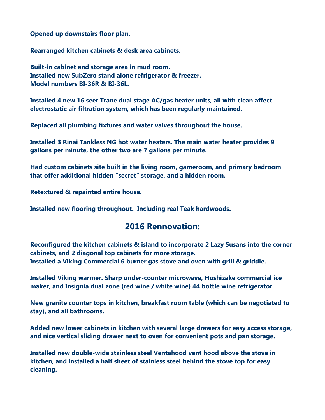**Opened up downstairs floor plan.**

**Rearranged kitchen cabinets & desk area cabinets.**

**Built-in cabinet and storage area in mud room. Installed new SubZero stand alone refrigerator & freezer. Model numbers BI-36R & BI-36L.**

**Installed 4 new 16 seer Trane dual stage AC/gas heater units, all with clean affect electrostatic air filtration system, which has been regularly maintained.**

**Replaced all plumbing fixtures and water valves throughout the house.**

**Installed 3 Rinai Tankless NG hot water heaters. The main water heater provides 9 gallons per minute, the other two are 7 gallons per minute.**

**Had custom cabinets site built in the living room, gameroom, and primary bedroom that offer additional hidden "secret" storage, and a hidden room.**

**Retextured & repainted entire house.**

**Installed new flooring throughout. Including real Teak hardwoods.**

## **2016 Rennovation:**

**Reconfigured the kitchen cabinets & island to incorporate 2 Lazy Susans into the corner cabinets, and 2 diagonal top cabinets for more storage. Installed a Viking Commercial 6 burner gas stove and oven with grill & griddle.**

**Installed Viking warmer. Sharp under-counter microwave, Hoshizake commercial ice maker, and Insignia dual zone (red wine / white wine) 44 bottle wine refrigerator.**

**New granite counter tops in kitchen, breakfast room table (which can be negotiated to stay), and all bathrooms.**

**Added new lower cabinets in kitchen with several large drawers for easy access storage, and nice vertical sliding drawer next to oven for convenient pots and pan storage.**

**Installed new double-wide stainless steel Ventahood vent hood above the stove in kitchen, and installed a half sheet of stainless steel behind the stove top for easy cleaning.**